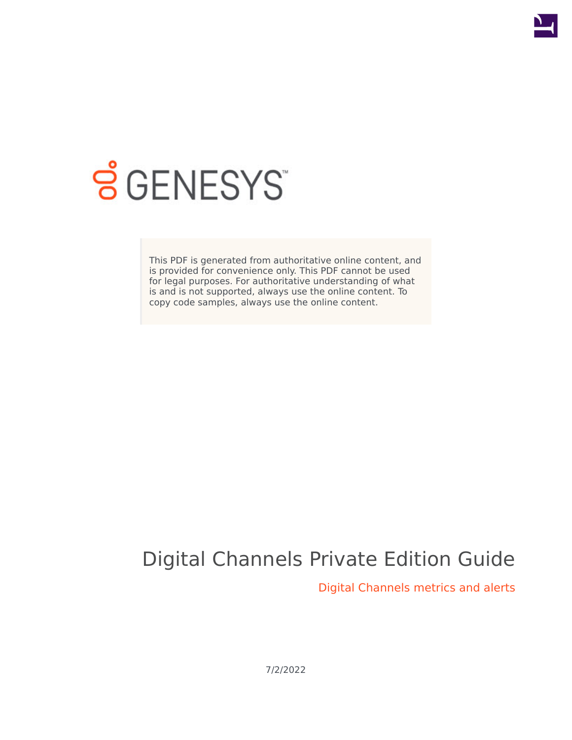

# **SGENESYS**

This PDF is generated from authoritative online content, and is provided for convenience only. This PDF cannot be used for legal purposes. For authoritative understanding of what is and is not supported, always use the online content. To copy code samples, always use the online content.

## Digital Channels Private Edition Guide

Digital Channels metrics and alerts

7/2/2022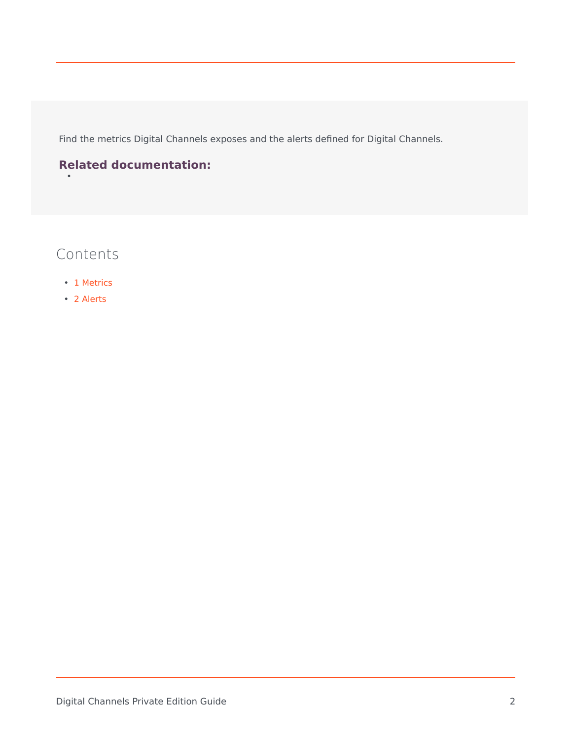Find the metrics Digital Channels exposes and the alerts defined for Digital Channels.

#### **Related documentation:**

#### Contents

•

- 1 [Metrics](#page-2-0)
- 2 [Alerts](#page-6-0)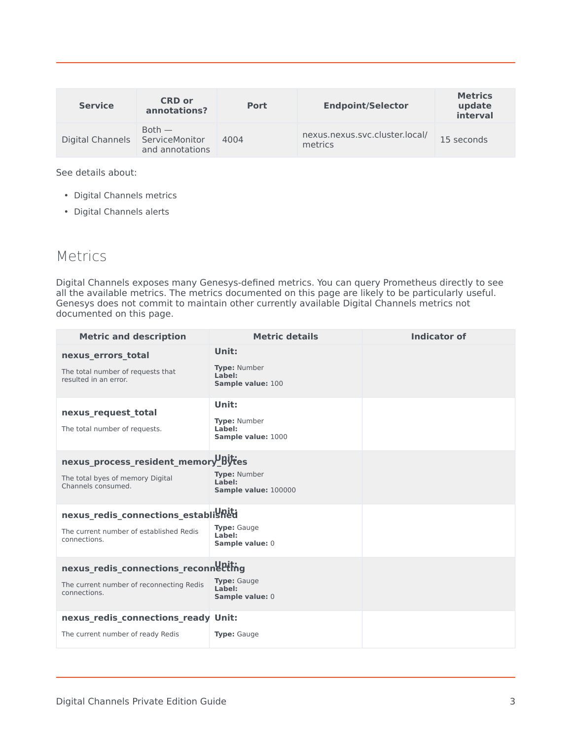| <b>Service</b>   | <b>CRD or</b><br>annotations?                 | <b>Port</b> | <b>Endpoint/Selector</b>                  | <b>Metrics</b><br>update<br>interval |
|------------------|-----------------------------------------------|-------------|-------------------------------------------|--------------------------------------|
| Digital Channels | $Both -$<br>ServiceMonitor<br>and annotations | 4004        | nexus.nexus.svc.cluster.local/<br>metrics | 15 seconds                           |

See details about:

- Digital Channels metrics
- Digital Channels alerts

#### <span id="page-2-0"></span>Metrics

Digital Channels exposes many Genesys-defined metrics. You can query Prometheus directly to see all the available metrics. The metrics documented on this page are likely to be particularly useful. Genesys does not commit to maintain other currently available Digital Channels metrics not documented on this page.

| <b>Metric and description</b>                              | <b>Metric details</b>                                 | <b>Indicator of</b> |  |  |
|------------------------------------------------------------|-------------------------------------------------------|---------------------|--|--|
| nexus_errors_total                                         | Unit:                                                 |                     |  |  |
| The total number of requests that<br>resulted in an error. | <b>Type: Number</b><br>Label:<br>Sample value: 100    |                     |  |  |
| nexus_request_total                                        | Unit:                                                 |                     |  |  |
| The total number of requests.                              | <b>Type: Number</b><br>Label:<br>Sample value: 1000   |                     |  |  |
| nexus_process_resident_memory_Bijtes                       |                                                       |                     |  |  |
| The total byes of memory Digital<br>Channels consumed.     | <b>Type: Number</b><br>Label:<br>Sample value: 100000 |                     |  |  |
| nexus_redis_connections_established                        |                                                       |                     |  |  |
| The current number of established Redis<br>connections.    | <b>Type: Gauge</b><br>Label:<br>Sample value: 0       |                     |  |  |
| nexus_redis_connections_reconnecting                       |                                                       |                     |  |  |
| The current number of reconnecting Redis<br>connections.   | <b>Type: Gauge</b><br>Label:<br>Sample value: 0       |                     |  |  |
| nexus_redis_connections_ready Unit:                        |                                                       |                     |  |  |
| The current number of ready Redis                          | <b>Type: Gauge</b>                                    |                     |  |  |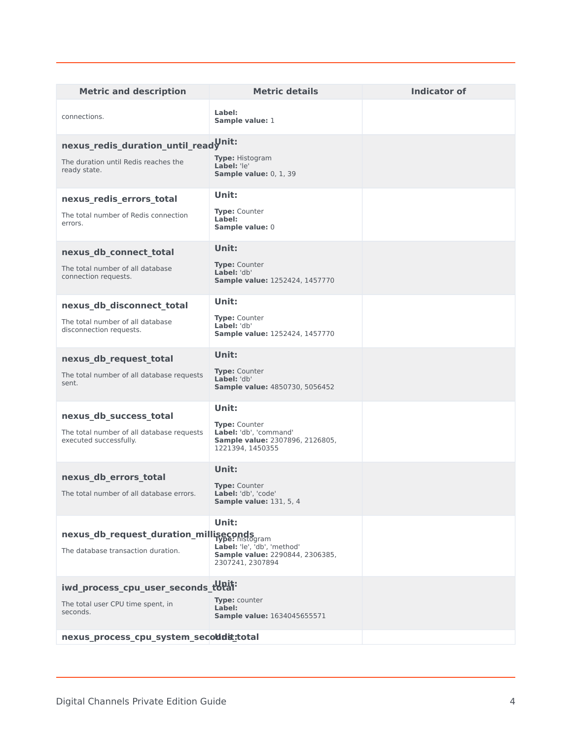| <b>Metric and description</b>                                                | <b>Metric details</b>                                                                                        | <b>Indicator of</b> |  |  |
|------------------------------------------------------------------------------|--------------------------------------------------------------------------------------------------------------|---------------------|--|--|
| connections.                                                                 | Label:<br>Sample value: 1                                                                                    |                     |  |  |
| nexus_redis_duration_until_readynit:                                         |                                                                                                              |                     |  |  |
| The duration until Redis reaches the<br>ready state.                         | <b>Type:</b> Histogram<br>Label: 'le'<br><b>Sample value:</b> 0, 1, 39                                       |                     |  |  |
| nexus_redis_errors_total                                                     | Unit:                                                                                                        |                     |  |  |
| The total number of Redis connection<br>errors.                              | <b>Type:</b> Counter<br>Label:<br>Sample value: 0                                                            |                     |  |  |
| nexus_db_connect_total                                                       | Unit:                                                                                                        |                     |  |  |
| The total number of all database<br>connection requests.                     | <b>Type:</b> Counter<br>Label: 'db'<br><b>Sample value: 1252424, 1457770</b>                                 |                     |  |  |
| nexus_db_disconnect_total                                                    | Unit:                                                                                                        |                     |  |  |
| The total number of all database<br>disconnection requests.                  | <b>Type:</b> Counter<br>Label: 'db'<br><b>Sample value: 1252424, 1457770</b>                                 |                     |  |  |
| nexus_db_request_total                                                       | Unit:                                                                                                        |                     |  |  |
| The total number of all database requests<br>sent.                           | <b>Type:</b> Counter<br>Label: 'db'<br><b>Sample value: 4850730, 5056452</b>                                 |                     |  |  |
| nexus_db_success_total                                                       | Unit:                                                                                                        |                     |  |  |
| The total number of all database requests<br>executed successfully.          | <b>Type:</b> Counter<br>Label: 'db', 'command'<br><b>Sample value: 2307896, 2126805,</b><br>1221394, 1450355 |                     |  |  |
| nexus_db_errors_total                                                        | Unit:                                                                                                        |                     |  |  |
| The total number of all database errors.                                     | <b>Type:</b> Counter<br>Label: 'db', 'code'<br><b>Sample value: 131, 5, 4</b>                                |                     |  |  |
|                                                                              | Unit:                                                                                                        |                     |  |  |
| nexus_db_request_duration_milliseconds<br>The database transaction duration. | Label: 'le', 'db', 'method'<br><b>Sample value: 2290844, 2306385,</b><br>2307241, 2307894                    |                     |  |  |
| iwd_process_cpu_user_seconds_total:                                          |                                                                                                              |                     |  |  |
| The total user CPU time spent, in<br>seconds.                                | <b>Type:</b> counter<br>Label:<br><b>Sample value: 1634045655571</b>                                         |                     |  |  |
| nexus_process_cpu_system_secoddit:total                                      |                                                                                                              |                     |  |  |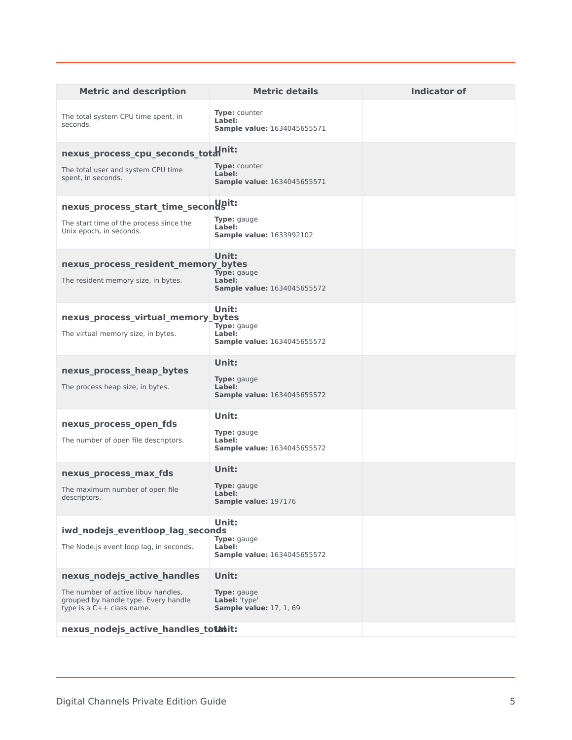| <b>Metric and description</b>                                                                              | <b>Metric details</b>                                                 | <b>Indicator of</b> |
|------------------------------------------------------------------------------------------------------------|-----------------------------------------------------------------------|---------------------|
| The total system CPU time spent, in<br>seconds.                                                            | <b>Type:</b> counter<br>Label:<br><b>Sample value: 1634045655571</b>  |                     |
| nexus_process_cpu_seconds_totalnit:                                                                        |                                                                       |                     |
| The total user and system CPU time<br>spent, in seconds.                                                   | <b>Type:</b> counter<br>Label:<br><b>Sample value: 1634045655571</b>  |                     |
| nexus_process_start_time_secondgit:                                                                        |                                                                       |                     |
| The start time of the process since the<br>Unix epoch, in seconds.                                         | <b>Type:</b> gauge<br>Label:<br><b>Sample value: 1633992102</b>       |                     |
| nexus_process_resident_memory_bytes                                                                        | Unit:                                                                 |                     |
| The resident memory size, in bytes.                                                                        | Type: gauge<br>Label:<br><b>Sample value: 1634045655572</b>           |                     |
| nexus_process_virtual_memory                                                                               | Unit:<br>bytes                                                        |                     |
| The virtual memory size, in bytes.                                                                         | <b>Type:</b> gauge<br>Label:<br><b>Sample value: 1634045655572</b>    |                     |
| nexus_process_heap_bytes                                                                                   | Unit:                                                                 |                     |
| The process heap size, in bytes.                                                                           | <b>Type:</b> gauge<br>Label:<br><b>Sample value: 1634045655572</b>    |                     |
| nexus_process_open_fds                                                                                     | Unit:                                                                 |                     |
| The number of open file descriptors.                                                                       | <b>Type:</b> gauge<br>Label:<br><b>Sample value: 1634045655572</b>    |                     |
| nexus_process_max_fds                                                                                      | Unit:                                                                 |                     |
| The maximum number of open file<br>descriptors.                                                            | <b>Type:</b> gauge<br>Label:<br><b>Sample value: 197176</b>           |                     |
| iwd nodejs eventloop lag seconds                                                                           | Unit:                                                                 |                     |
| The Node.js event loop lag, in seconds.                                                                    | <b>Type:</b> gauge<br>Label:<br><b>Sample value: 1634045655572</b>    |                     |
| nexus_nodejs_active_handles                                                                                | Unit:                                                                 |                     |
| The number of active libuv handles,<br>grouped by handle type. Every handle<br>type is a $C++$ class name. | <b>Type:</b> gauge<br>Label: 'type'<br><b>Sample value: 17, 1, 69</b> |                     |
| nexus_nodejs_active_handles_tothit:                                                                        |                                                                       |                     |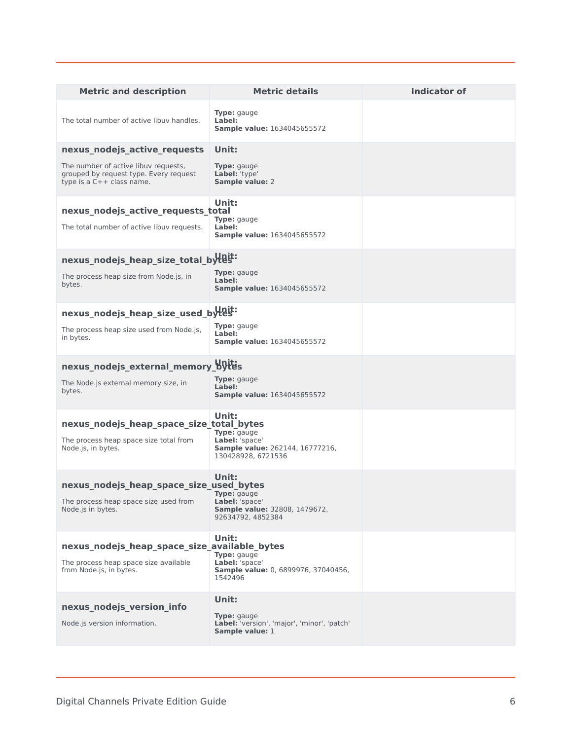| <b>Metric and description</b>                                                                                 | <b>Metric details</b>                                                                                | <b>Indicator of</b> |
|---------------------------------------------------------------------------------------------------------------|------------------------------------------------------------------------------------------------------|---------------------|
| The total number of active libuv handles.                                                                     | <b>Type:</b> gauge<br>Label:<br><b>Sample value: 1634045655572</b>                                   |                     |
| nexus_nodejs_active_requests                                                                                  | Unit:                                                                                                |                     |
| The number of active libuv requests,<br>grouped by request type. Every request<br>type is a $C++$ class name. | <b>Type:</b> gauge<br>Label: 'type'<br>Sample value: 2                                               |                     |
| nexus_nodejs_active_requests_total<br>The total number of active libuv requests.                              | Unit:<br><b>Type:</b> gauge<br>Label:<br><b>Sample value: 1634045655572</b>                          |                     |
| nexus_nodejs_heap_size_total_byteit:                                                                          |                                                                                                      |                     |
| The process heap size from Node.js, in<br>bytes.                                                              | <b>Type:</b> gauge<br>Label:<br><b>Sample value: 1634045655572</b>                                   |                     |
| nexus_nodejs_heap_size_used_bytet:                                                                            |                                                                                                      |                     |
| The process heap size used from Node.js,<br>in bytes.                                                         | <b>Type:</b> gauge<br>Label:<br><b>Sample value: 1634045655572</b>                                   |                     |
| nexus_nodejs_external_memory_bytes                                                                            |                                                                                                      |                     |
| The Node.js external memory size, in<br>bytes.                                                                | <b>Type:</b> gauge<br>Label:<br><b>Sample value: 1634045655572</b>                                   |                     |
| nexus_nodejs_heap_space_size_total_bytes                                                                      | Unit:                                                                                                |                     |
| The process heap space size total from<br>Node.js, in bytes.                                                  | <b>Type:</b> gauge<br>Label: 'space'<br><b>Sample value:</b> 262144, 16777216,<br>130428928, 6721536 |                     |
| nexus_nodejs_heap_space_size_used_bytes                                                                       | Unit:                                                                                                |                     |
| The process heap space size used from<br>Node.js in bytes.                                                    | <b>Type:</b> gauge<br>Label: 'space'<br><b>Sample value: 32808, 1479672,</b><br>92634792, 4852384    |                     |
| nexus_nodejs_heap_space_size_available_bytes                                                                  | Unit:                                                                                                |                     |
| The process heap space size available<br>from Node.js, in bytes.                                              | <b>Type:</b> gauge<br>Label: 'space'<br>Sample value: 0, 6899976, 37040456,<br>1542496               |                     |
| nexus nodejs version info                                                                                     | Unit:                                                                                                |                     |
| Node.js version information.                                                                                  | <b>Type:</b> gauge<br>Label: 'version', 'major', 'minor', 'patch'<br>Sample value: 1                 |                     |